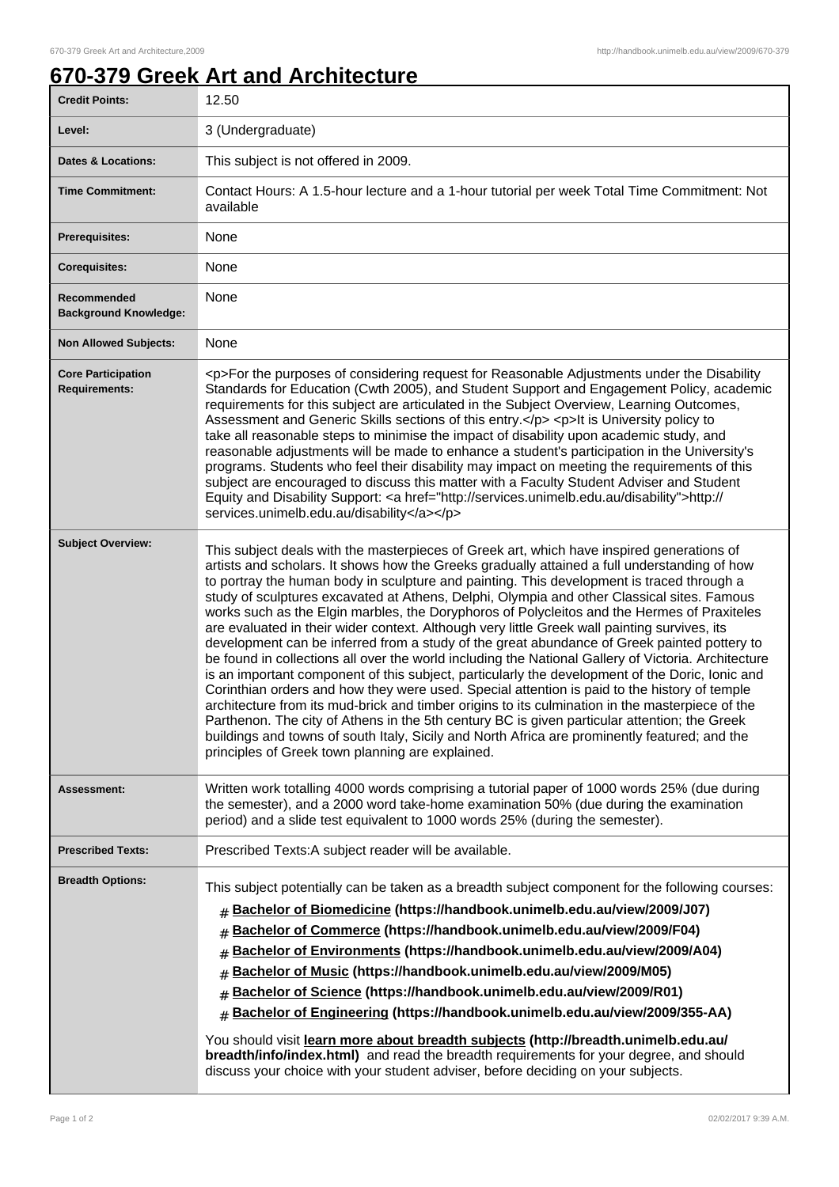## **670-379 Greek Art and Architecture**

| <b>Credit Points:</b>                             | 12.50                                                                                                                                                                                                                                                                                                                                                                                                                                                                                                                                                                                                                                                                                                                                                                                                                                                                                                                                                                                                                                                                                                                                                                                                                                                                                                                                                |
|---------------------------------------------------|------------------------------------------------------------------------------------------------------------------------------------------------------------------------------------------------------------------------------------------------------------------------------------------------------------------------------------------------------------------------------------------------------------------------------------------------------------------------------------------------------------------------------------------------------------------------------------------------------------------------------------------------------------------------------------------------------------------------------------------------------------------------------------------------------------------------------------------------------------------------------------------------------------------------------------------------------------------------------------------------------------------------------------------------------------------------------------------------------------------------------------------------------------------------------------------------------------------------------------------------------------------------------------------------------------------------------------------------------|
| Level:                                            | 3 (Undergraduate)                                                                                                                                                                                                                                                                                                                                                                                                                                                                                                                                                                                                                                                                                                                                                                                                                                                                                                                                                                                                                                                                                                                                                                                                                                                                                                                                    |
| <b>Dates &amp; Locations:</b>                     | This subject is not offered in 2009.                                                                                                                                                                                                                                                                                                                                                                                                                                                                                                                                                                                                                                                                                                                                                                                                                                                                                                                                                                                                                                                                                                                                                                                                                                                                                                                 |
| <b>Time Commitment:</b>                           | Contact Hours: A 1.5-hour lecture and a 1-hour tutorial per week Total Time Commitment: Not<br>available                                                                                                                                                                                                                                                                                                                                                                                                                                                                                                                                                                                                                                                                                                                                                                                                                                                                                                                                                                                                                                                                                                                                                                                                                                             |
| <b>Prerequisites:</b>                             | None                                                                                                                                                                                                                                                                                                                                                                                                                                                                                                                                                                                                                                                                                                                                                                                                                                                                                                                                                                                                                                                                                                                                                                                                                                                                                                                                                 |
| <b>Corequisites:</b>                              | None                                                                                                                                                                                                                                                                                                                                                                                                                                                                                                                                                                                                                                                                                                                                                                                                                                                                                                                                                                                                                                                                                                                                                                                                                                                                                                                                                 |
| Recommended<br><b>Background Knowledge:</b>       | None                                                                                                                                                                                                                                                                                                                                                                                                                                                                                                                                                                                                                                                                                                                                                                                                                                                                                                                                                                                                                                                                                                                                                                                                                                                                                                                                                 |
| <b>Non Allowed Subjects:</b>                      | None                                                                                                                                                                                                                                                                                                                                                                                                                                                                                                                                                                                                                                                                                                                                                                                                                                                                                                                                                                                                                                                                                                                                                                                                                                                                                                                                                 |
| <b>Core Participation</b><br><b>Requirements:</b> | <p>For the purposes of considering request for Reasonable Adjustments under the Disability<br/>Standards for Education (Cwth 2005), and Student Support and Engagement Policy, academic<br/>requirements for this subject are articulated in the Subject Overview, Learning Outcomes,<br/>Assessment and Generic Skills sections of this entry.</p> <p>lt is University policy to<br/>take all reasonable steps to minimise the impact of disability upon academic study, and<br/>reasonable adjustments will be made to enhance a student's participation in the University's<br/>programs. Students who feel their disability may impact on meeting the requirements of this<br/>subject are encouraged to discuss this matter with a Faculty Student Adviser and Student<br/>Equity and Disability Support: <a href="http://services.unimelb.edu.au/disability">http://<br/>services.unimelb.edu.au/disability</a></p>                                                                                                                                                                                                                                                                                                                                                                                                                            |
| <b>Subject Overview:</b>                          | This subject deals with the masterpieces of Greek art, which have inspired generations of<br>artists and scholars. It shows how the Greeks gradually attained a full understanding of how<br>to portray the human body in sculpture and painting. This development is traced through a<br>study of sculptures excavated at Athens, Delphi, Olympia and other Classical sites. Famous<br>works such as the Elgin marbles, the Doryphoros of Polycleitos and the Hermes of Praxiteles<br>are evaluated in their wider context. Although very little Greek wall painting survives, its<br>development can be inferred from a study of the great abundance of Greek painted pottery to<br>be found in collections all over the world including the National Gallery of Victoria. Architecture<br>is an important component of this subject, particularly the development of the Doric, Ionic and<br>Corinthian orders and how they were used. Special attention is paid to the history of temple<br>architecture from its mud-brick and timber origins to its culmination in the masterpiece of the<br>Parthenon. The city of Athens in the 5th century BC is given particular attention; the Greek<br>buildings and towns of south Italy, Sicily and North Africa are prominently featured; and the<br>principles of Greek town planning are explained. |
| <b>Assessment:</b>                                | Written work totalling 4000 words comprising a tutorial paper of 1000 words 25% (due during<br>the semester), and a 2000 word take-home examination 50% (due during the examination<br>period) and a slide test equivalent to 1000 words 25% (during the semester).                                                                                                                                                                                                                                                                                                                                                                                                                                                                                                                                                                                                                                                                                                                                                                                                                                                                                                                                                                                                                                                                                  |
| <b>Prescribed Texts:</b>                          | Prescribed Texts:A subject reader will be available.                                                                                                                                                                                                                                                                                                                                                                                                                                                                                                                                                                                                                                                                                                                                                                                                                                                                                                                                                                                                                                                                                                                                                                                                                                                                                                 |
| <b>Breadth Options:</b>                           | This subject potentially can be taken as a breadth subject component for the following courses:<br>Bachelor of Biomedicine (https://handbook.unimelb.edu.au/view/2009/J07)<br>#<br>Bachelor of Commerce (https://handbook.unimelb.edu.au/view/2009/F04)<br>#<br>Bachelor of Environments (https://handbook.unimelb.edu.au/view/2009/A04)<br>Bachelor of Music (https://handbook.unimelb.edu.au/view/2009/M05)<br>#<br>Bachelor of Science (https://handbook.unimelb.edu.au/view/2009/R01)<br>#<br>Bachelor of Engineering (https://handbook.unimelb.edu.au/view/2009/355-AA)<br>$\#$<br>You should visit learn more about breadth subjects (http://breadth.unimelb.edu.au/<br>breadth/info/index.html) and read the breadth requirements for your degree, and should<br>discuss your choice with your student adviser, before deciding on your subjects.                                                                                                                                                                                                                                                                                                                                                                                                                                                                                             |